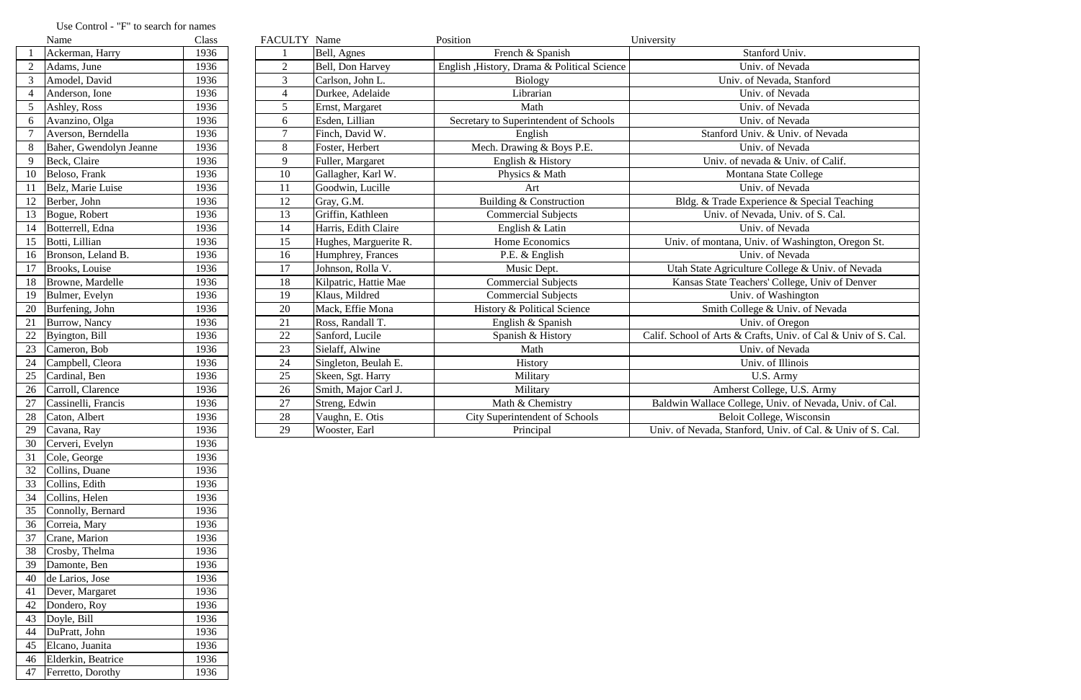|                 | Name                    | FACULTY Name<br>Class<br>Position<br>University |                 |                       |                                              |                                                                |
|-----------------|-------------------------|-------------------------------------------------|-----------------|-----------------------|----------------------------------------------|----------------------------------------------------------------|
|                 | Ackerman, Harry         | 1936                                            |                 | Bell, Agnes           | French & Spanish                             | Stanford Univ.                                                 |
|                 | Adams, June             | 1936                                            | $\overline{2}$  | Bell, Don Harvey      | English , History, Drama & Political Science | Univ. of Nevada                                                |
|                 | Amodel, David           | 1936                                            | $\overline{3}$  | Carlson, John L.      | <b>Biology</b>                               | Univ. of Nevada, Stanford                                      |
|                 | Anderson, Ione          | 1936                                            | $\overline{4}$  | Durkee, Adelaide      | Librarian                                    | Univ. of Nevada                                                |
|                 | Ashley, Ross            | 1936                                            | 5               | Ernst, Margaret       | Math                                         | Univ. of Nevada                                                |
| 6               | Avanzino, Olga          | 1936                                            | 6               | Esden, Lillian        | Secretary to Superintendent of Schools       | Univ. of Nevada                                                |
|                 | Averson, Berndella      | 1936                                            | $\overline{7}$  | Finch, David W.       | English                                      | Stanford Univ. & Univ. of Nevada                               |
|                 | Baher, Gwendolyn Jeanne | 1936                                            | 8               | Foster, Herbert       | Mech. Drawing & Boys P.E.                    | Univ. of Nevada                                                |
| 9               | Beck, Claire            | 1936                                            | 9               | Fuller, Margaret      | English & History                            | Univ. of nevada & Univ. of Calif.                              |
| 10              | Beloso, Frank           | 1936                                            | 10              | Gallagher, Karl W.    | Physics & Math                               | Montana State College                                          |
|                 | Belz, Marie Luise       | 1936                                            | 11              | Goodwin, Lucille      | Art                                          | Univ. of Nevada                                                |
|                 | Berber, John            | 1936                                            | 12              | Gray, G.M.            | Building & Construction                      | Bldg. & Trade Experience & Special Teaching                    |
| 13              | Bogue, Robert           | 1936                                            | 13              | Griffin, Kathleen     | <b>Commercial Subjects</b>                   | Univ. of Nevada, Univ. of S. Cal.                              |
|                 | Botterrell, Edna        | 1936                                            | 14              | Harris, Edith Claire  | English & Latin                              | Univ. of Nevada                                                |
| 15              | Botti, Lillian          | 1936                                            | 15              | Hughes, Marguerite R. | Home Economics                               | Univ. of montana, Univ. of Washington, Oregon St.              |
| 16              | Bronson, Leland B.      | 1936                                            | 16              | Humphrey, Frances     | P.E. & English                               | Univ. of Nevada                                                |
| 17              | Brooks, Louise          | 1936                                            | 17              | Johnson, Rolla V.     | Music Dept.                                  | Utah State Agriculture College & Univ. of Nevada               |
| 18              | Browne, Mardelle        | 1936                                            | 18              | Kilpatric, Hattie Mae | <b>Commercial Subjects</b>                   | Kansas State Teachers' College, Univ of Denver                 |
| 19              | Bulmer, Evelyn          | 1936                                            | 19              | Klaus, Mildred        | <b>Commercial Subjects</b>                   | Univ. of Washington                                            |
| 20              | Burfening, John         | 1936                                            | 20              | Mack, Effie Mona      | History & Political Science                  | Smith College & Univ. of Nevada                                |
| 21              | Burrow, Nancy           | 1936                                            | 21              | Ross, Randall T.      | English & Spanish                            | Univ. of Oregon                                                |
| 22              | Byington, Bill          | 1936                                            | 22              | Sanford, Lucile       | Spanish & History                            | Calif. School of Arts & Crafts, Univ. of Cal & Univ of S. Cal. |
| 23              | Cameron, Bob            | 1936                                            | 23              | Sielaff, Alwine       | Math                                         | Univ. of Nevada                                                |
| 24              | Campbell, Cleora        | 1936                                            | 24              | Singleton, Beulah E.  | History                                      | Univ. of Illinois                                              |
| 25              | Cardinal, Ben           | 1936                                            | 25              | Skeen, Sgt. Harry     | Military                                     | U.S. Army                                                      |
| 26              | Carroll, Clarence       | 1936                                            | 26              | Smith, Major Carl J.  | Military                                     | Amherst College, U.S. Army                                     |
| 27              | Cassinelli, Francis     | 1936                                            | 27              | Streng, Edwin         | Math & Chemistry                             | Baldwin Wallace College, Univ. of Nevada, Univ. of Cal.        |
| 28              | Caton, Albert           | 1936                                            | 28              | Vaughn, E. Otis       | <b>City Superintendent of Schools</b>        | Beloit College, Wisconsin                                      |
| $\overline{29}$ | Cavana, Ray             | 1936                                            | $\overline{29}$ | Wooster, Earl         | Principal                                    | Univ. of Nevada, Stanford, Univ. of Cal. & Univ of S. Cal.     |

## Use Control - "F" to search for names<br>
Name

|                | ічаше                   | Ciass |
|----------------|-------------------------|-------|
| $\mathbf{1}$   | Ackerman, Harry         | 1936  |
| $\overline{c}$ | Adams, June             | 1936  |
| $\overline{3}$ | Amodel, David           | 1936  |
| $\overline{4}$ | Anderson, Ione          | 1936  |
| 5              | Ashley, Ross            | 1936  |
| 6              | Avanzino, Olga          | 1936  |
| $\overline{7}$ | Averson, Berndella      | 1936  |
| 8              | Baher, Gwendolyn Jeanne | 1936  |
| 9              | Beck, Claire            | 1936  |
| 10             | Beloso, Frank           | 1936  |
| 11             | Belz, Marie Luise       | 1936  |
| 12             | Berber, John            | 1936  |
| 13             | Bogue, Robert           | 1936  |
| 14             | Botterrell, Edna        | 1936  |
| 15             | Botti, Lillian          | 1936  |
| 16             | Bronson, Leland B.      | 1936  |
| 17             | Brooks, Louise          | 1936  |
| 18             | Browne, Mardelle        | 1936  |
| 19             | Bulmer, Evelyn          | 1936  |
| 20             | Burfening, John         | 1936  |
| 21             | Burrow, Nancy           | 1936  |
| 22             | Byington, Bill          | 1936  |
| 23             | Cameron, Bob            | 1936  |
| 24             | Campbell, Cleora        | 1936  |
| 25             | Cardinal, Ben           | 1936  |
| 26             | Carroll, Clarence       | 1936  |
| 27             | Cassinelli, Francis     | 1936  |
| 28             | Caton, Albert           | 1936  |
| 29             | Cavana, Ray             | 1936  |
| 30             | Cerveri, Evelyn         | 1936  |
| 31             | Cole, George            | 1936  |
| 32             | Collins, Duane          | 1936  |
| 33             | Collins, Edith          | 1936  |
| 34             | Collins, Helen          | 1936  |
| 35             | Connolly, Bernard       | 1936  |
| 36             | Correia, Mary           | 1936  |
| 37             | Crane, Marion           | 1936  |
| 38             | Crosby, Thelma          | 1936  |
| 39             | Damonte, Ben            | 1936  |
| 40             | de Larios, Jose         | 1936  |
| 41             | Dever, Margaret         | 1936  |
| 42             | Dondero, Roy            | 1936  |
| 43             | Doyle, Bill             | 1936  |
| 44             | DuPratt, John           | 1936  |
| 45             | Elcano, Juanita         | 1936  |
| 46             | Elderkin, Beatrice      | 1936  |
| 47             | Ferretto, Dorothy       | 1936  |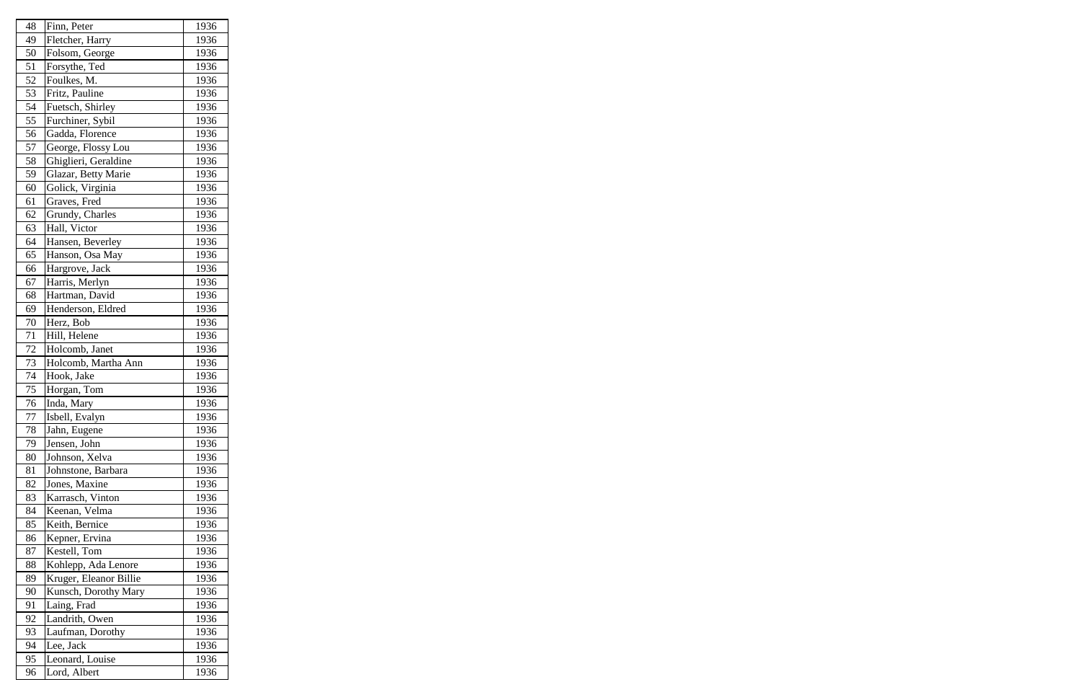| 48 | Finn, Peter            | 1936 |
|----|------------------------|------|
| 49 | Fletcher, Harry        | 1936 |
| 50 | Folsom, George         | 1936 |
| 51 | Forsythe, Ted          | 1936 |
| 52 | Foulkes, M.            | 1936 |
| 53 | Fritz, Pauline         | 1936 |
| 54 | Fuetsch, Shirley       | 1936 |
| 55 | Furchiner, Sybil       | 1936 |
| 56 | Gadda, Florence        | 1936 |
| 57 | George, Flossy Lou     | 1936 |
| 58 | Ghiglieri, Geraldine   | 1936 |
| 59 | Glazar, Betty Marie    | 1936 |
| 60 | Golick, Virginia       | 1936 |
| 61 | Graves, Fred           | 1936 |
| 62 | Grundy, Charles        | 1936 |
| 63 | Hall, Victor           | 1936 |
| 64 | Hansen, Beverley       | 1936 |
| 65 | Hanson, Osa May        | 1936 |
| 66 | Hargrove, Jack         | 1936 |
| 67 | Harris, Merlyn         | 1936 |
| 68 | Hartman, David         | 1936 |
| 69 | Henderson, Eldred      | 1936 |
| 70 | Herz, Bob              | 1936 |
| 71 | Hill, Helene           | 1936 |
| 72 | Holcomb, Janet         | 1936 |
| 73 | Holcomb, Martha Ann    | 1936 |
| 74 | Hook, Jake             | 1936 |
| 75 | Horgan, Tom            | 1936 |
| 76 | Inda, Mary             | 1936 |
| 77 | Isbell, Evalyn         | 1936 |
| 78 | Jahn, Eugene           | 1936 |
| 79 | Jensen, John           | 1936 |
| 80 | Johnson, Xelva         | 1936 |
| 81 | Johnstone, Barbara     | 1936 |
| 82 | Jones, Maxine          | 1936 |
| 83 | Karrasch, Vinton       | 1936 |
| 84 | Keenan, Velma          | 1936 |
| 85 | Keith, Bernice         | 1936 |
| 86 | Kepner, Ervina         | 1936 |
| 87 | Kestell, Tom           | 1936 |
| 88 | Kohlepp, Ada Lenore    | 1936 |
| 89 | Kruger, Eleanor Billie | 1936 |
| 90 | Kunsch, Dorothy Mary   | 1936 |
| 91 | Laing, Frad            | 1936 |
| 92 | Landrith, Owen         | 1936 |
| 93 | Laufman, Dorothy       | 1936 |
| 94 | Lee, Jack              | 1936 |
| 95 | Leonard, Louise        | 1936 |
| 96 | Lord, Albert           | 1936 |
|    |                        |      |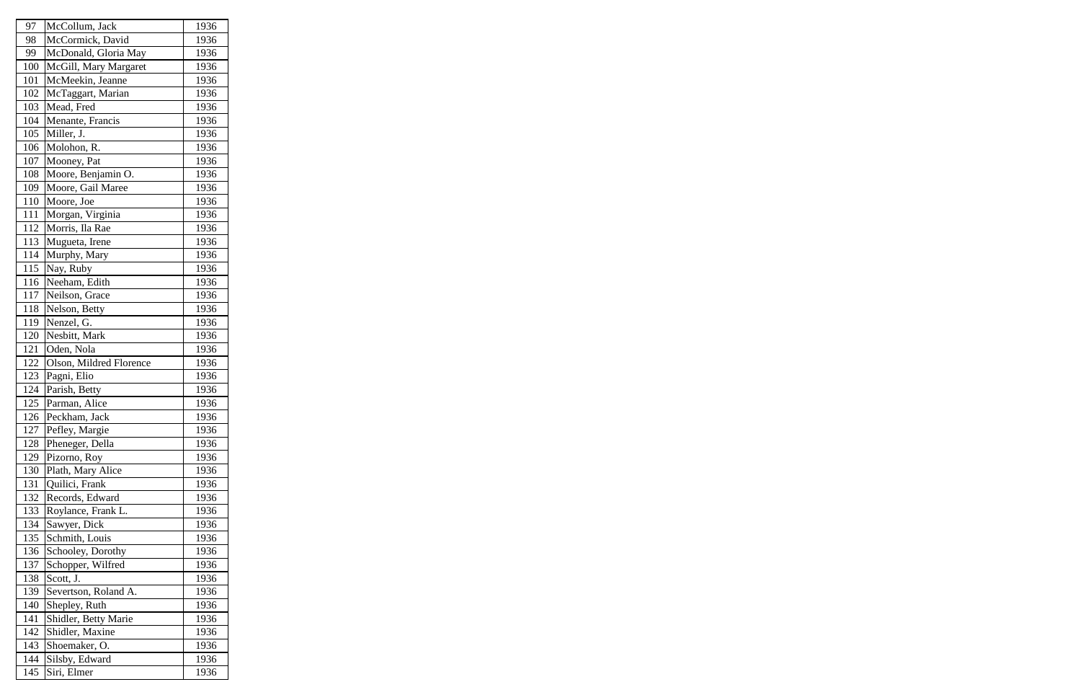| 97  | McCollum, Jack          | 1936 |
|-----|-------------------------|------|
| 98  | McCormick, David        | 1936 |
| 99  | McDonald, Gloria May    | 1936 |
| 100 | McGill, Mary Margaret   | 1936 |
| 101 | McMeekin, Jeanne        | 1936 |
| 102 | McTaggart, Marian       | 1936 |
| 103 | Mead, Fred              | 1936 |
| 104 | Menante, Francis        | 1936 |
| 105 | Miller, J.              | 1936 |
| 106 | Molohon, R.             | 1936 |
| 107 | Mooney, Pat             | 1936 |
| 108 | Moore, Benjamin O.      | 1936 |
| 109 | Moore, Gail Maree       | 1936 |
| 110 | Moore, Joe              | 1936 |
| 111 | Morgan, Virginia        | 1936 |
| 112 | Morris, Ila Rae         | 1936 |
| 113 | Mugueta, Irene          | 1936 |
| 114 | Murphy, Mary            | 1936 |
| 115 | Nay, Ruby               | 1936 |
| 116 | Neeham, Edith           | 1936 |
| 117 | Neilson, Grace          | 1936 |
| 118 | Nelson, Betty           | 1936 |
| 119 | Nenzel, G.              | 1936 |
| 120 | Nesbitt, Mark           | 1936 |
| 121 | Oden, Nola              | 1936 |
| 122 | Olson, Mildred Florence | 1936 |
| 123 | Pagni, Elio             | 1936 |
| 124 | Parish, Betty           | 1936 |
| 125 | Parman, Alice           | 1936 |
| 126 | Peckham, Jack           | 1936 |
| 127 | Pefley, Margie          | 1936 |
| 128 | Pheneger, Della         | 1936 |
| 129 | Pizorno, Roy            | 1936 |
| 130 | Plath, Mary Alice       | 1936 |
| 131 | Quilici, Frank          | 1936 |
| 132 | Records, Edward         | 1936 |
| 133 | Roylance, Frank L.      | 1936 |
| 134 | Sawyer, Dick            | 1936 |
| 135 | Schmith, Louis          | 1936 |
| 136 | Schooley, Dorothy       | 1936 |
| 137 | Schopper, Wilfred       | 1936 |
| 138 | Scott, J.               | 1936 |
| 139 | Severtson, Roland A.    | 1936 |
| 140 | Shepley, Ruth           | 1936 |
| 141 | Shidler, Betty Marie    | 1936 |
| 142 | Shidler, Maxine         | 1936 |
| 143 | Shoemaker, O.           | 1936 |
| 144 | Silsby, Edward          | 1936 |
| 145 | Siri, Elmer             | 1936 |